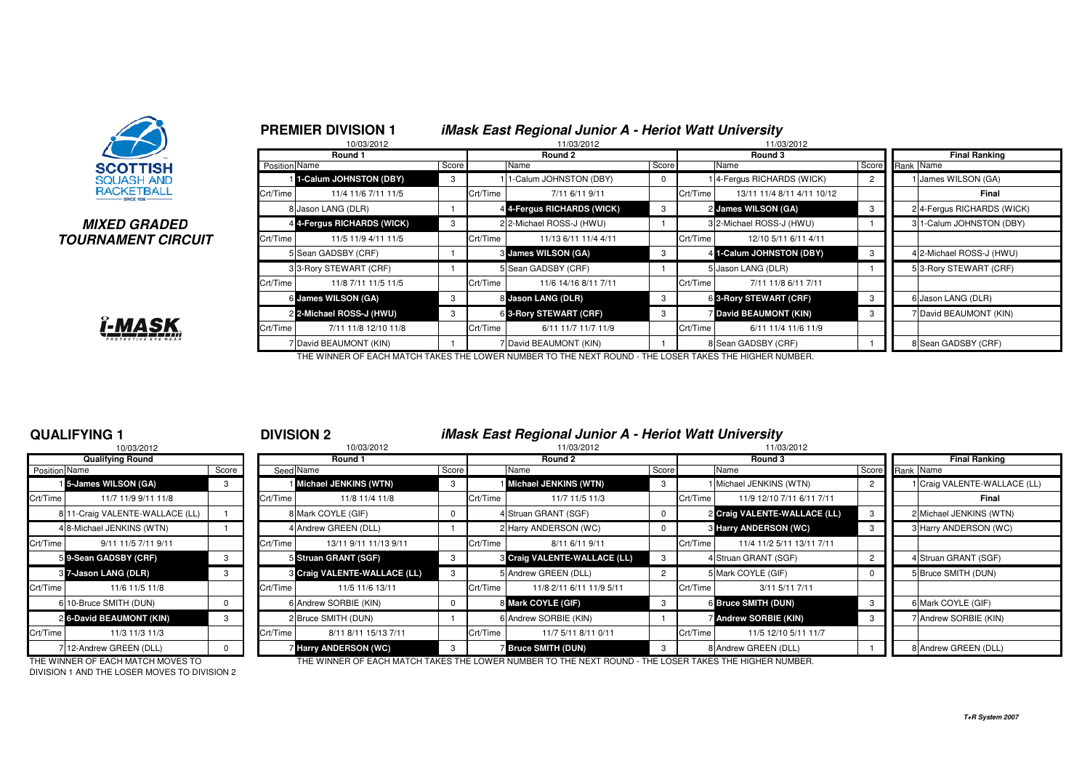

**PREMIER DIVISION 1**

## **MIXED GRADEDTOURNAMENT CIRCUIT**



|                          | 10/03/2012                 |       |          | $m\omega$ , $m\omega$ , $m\omega$ , $m\omega$ , $m\omega$ , $m\omega$ , $m\omega$ , $m\omega$ , $m\omega$ , $m\omega$<br>11/03/2012 |   |                     | 11/03/2012                  |       |                           |
|--------------------------|----------------------------|-------|----------|-------------------------------------------------------------------------------------------------------------------------------------|---|---------------------|-----------------------------|-------|---------------------------|
|                          | Round 1                    |       |          | Round 2                                                                                                                             |   |                     | Round 3                     |       | <b>Final Ranking</b>      |
|                          | Position Name              | Score |          | Score<br>Name<br>11-Calum JOHNSTON (DBY)                                                                                            |   |                     | Name                        | Score | Rank Name                 |
|                          | 1-Calum JOHNSTON (DBY)     | 3     |          |                                                                                                                                     |   |                     | 4-Fergus RICHARDS (WICK)    |       | James WILSON (GA)         |
| Crt/Time                 | 11/4 11/6 7/11 11/5        |       | Crt/Time | 7/11 6/11 9/11                                                                                                                      |   | Crt/Time            | 13/11 11/4 8/11 4/11 10/12  |       | Final                     |
|                          | 8 Jason LANG (DLR)         |       |          | 4 4-Fergus RICHARDS (WICK)                                                                                                          | 3 |                     | 2 James WILSON (GA)         |       | 24-Fergus RICHARDS (WICK) |
|                          | 4 4-Fergus RICHARDS (WICK) | 3     |          | 2 2-Michael ROSS-J (HWU)                                                                                                            |   |                     | 3 2-Michael ROSS-J (HWU)    |       | 3 1-Calum JOHNSTON (DBY)  |
| <b>?CUIT</b><br>Crt/Time | 11/5 11/9 4/11 11/5        |       | Crt/Time | 11/13 6/11 11/4 4/11                                                                                                                |   | Crt/Time            | 12/10 5/11 6/11 4/11        |       |                           |
|                          | 5 Sean GADSBY (CRF)        |       |          | <b>8 James WILSON (GA)</b>                                                                                                          | 3 |                     | 4 1-Calum JOHNSTON (DBY)    |       | 4 2-Michael ROSS-J (HWU)  |
|                          | 3 3-Rory STEWART (CRF)     |       |          | 5 Sean GADSBY (CRF)                                                                                                                 |   |                     | 5 Jason LANG (DLR)          |       | 5 3-Rory STEWART (CRF)    |
| Crt/Time                 | 11/8 7/11 11/5 11/5        |       | Crt/Time | 11/6 14/16 8/11 7/11                                                                                                                |   | Crt/Time            | 7/11 11/8 6/11 7/11         |       |                           |
|                          | 6 James WILSON (GA)        | 3     |          | 8 Jason LANG (DLR)                                                                                                                  | 3 |                     | 6 3-Rory STEWART (CRF)      |       | 6 Jason LANG (DLR)        |
|                          | 2 2-Michael ROSS-J (HWU)   | 3     |          | 6 3-Rory STEWART (CRF)                                                                                                              | 3 |                     | <b>David BEAUMONT (KIN)</b> | 3     | 7 David BEAUMONT (KIN)    |
| Crt/Time                 | 7/11 11/8 12/10 11/8       |       | Crt/Time | 6/11 11/7 11/7 11/9                                                                                                                 |   | Crt/Time            | 6/11 11/4 11/6 11/9         |       |                           |
|                          | 7 David BEAUMONT (KIN)     |       |          | 7 David BEAUMONT (KIN)                                                                                                              |   | 8 Sean GADSBY (CRF) |                             |       | 8 Sean GADSBY (CRF)       |

THE WINNER OF EACH MATCH TAKES THE LOWER NUMBER TO THE NEXT ROUND - THE LOSER TAKES THE HIGHER NUMBER.

## **QUALIFYING 1**

|                      | 10/03/2012                      |       |          |
|----------------------|---------------------------------|-------|----------|
|                      | <b>Qualifying Round</b>         |       |          |
| <b>Position Name</b> |                                 | Score | Seed     |
|                      | 15-James WILSON (GA)            | 3     |          |
| Crt/Time             | 11/7 11/9 9/11 11/8             |       | Crt/Time |
|                      | 8 11-Craig VALENTE-WALLACE (LL) |       | 8        |
|                      | 4 8-Michael JENKINS (WTN)       | 1     | 4        |
| Crt/Time             | 9/11 11/5 7/11 9/11             |       | Crt/Time |
|                      | 59-Sean GADSBY (CRF)            | 3     | 5        |
|                      | 87-Jason LANG (DLR)             | 3     | 3        |
| Crt/Time             | 11/6 11/5 11/8                  |       | Crt/Time |
|                      | 6 10-Bruce SMITH (DUN)          | O     | 6        |
| $\overline{2}$       | 6-David BEAUMONT (KIN)          | 3     | 2        |
| Crt/Time             | 11/3 11/3 11/3                  |       | Crt/Time |
|                      | 712-Andrew GREEN (DLL)          | n     | 7        |

## <sup>1</sup> **DIVISION 2 iMask East Regional Junior A - Heriot Watt University**

**iMask East Regional Junior A - Heriot Watt University**

|               | 10/03/2012                      |       |          | 10/03/2012                          |          |          | 11/03/2012                   |       | 11/03/2012                            |                 |                            |
|---------------|---------------------------------|-------|----------|-------------------------------------|----------|----------|------------------------------|-------|---------------------------------------|-----------------|----------------------------|
|               | <b>Qualifying Round</b>         |       |          | Round 1                             |          |          | Round 2                      |       | Round 3                               |                 | <b>Final Ranking</b>       |
| Position Name |                                 | Score |          | Seed Name                           | Score    |          | Name                         | Score | Name                                  | Score Rank Name |                            |
|               | 15-James WILSON (GA)            | 3     |          | Michael JENKINS (WTN)               | 3        |          | Michael JENKINS (WTN)        | 3     | I Michael JENKINS (WTN)               |                 | Craig VALENTE-WALLACE (LL) |
| Crt/Time      | 11/7 11/9 9/11 11/8             |       | Crt/Time | 11/8 11/4 11/8                      |          | Crt/Time | 11/7 11/5 11/3               |       | Crt/Time<br>11/9 12/10 7/11 6/11 7/11 |                 | Final                      |
|               | 8 11-Craig VALENTE-WALLACE (LL) |       |          | 8 Mark COYLE (GIF)                  |          |          | 4 Struan GRANT (SGF)         |       | 2 Craig VALENTE-WALLACE (LL)          |                 | 2 Michael JENKINS (WTN)    |
|               | 4 8-Michael JENKINS (WTN)       |       |          | 4 Andrew GREEN (DLL)                |          |          | 2 Harry ANDERSON (WC)        |       | <b>8 Harry ANDERSON (WC)</b>          |                 | 3 Harry ANDERSON (WC)      |
| Crt/Time      | 9/11 11/5 7/11 9/11             |       | Crt/Time | 13/11 9/11 11/13 9/11               |          | Crt/Time | 8/11 6/11 9/11               |       | 11/4 11/2 5/11 13/11 7/11<br>Crt/Time |                 |                            |
|               | 59-Sean GADSBY (CRF)            | 3     |          | 5 Struan GRANT (SGF)                | 3        |          | 8 Craig VALENTE-WALLACE (LL) |       | 4 Struan GRANT (SGF)                  |                 | Struan GRANT (SGF)         |
|               | 3 7-Jason LANG (DLR)            | 3     |          | <b>3 Craig VALENTE-WALLACE (LL)</b> |          |          | 5 Andrew GREEN (DLL)         |       | 5 Mark COYLE (GIF)                    |                 | <b>Bruce SMITH (DUN)</b>   |
| Crt/Time      | 11/6 11/5 11/8                  |       | Crt/Time | 11/5 11/6 13/11                     |          | Crt/Time | 11/8 2/11 6/11 11/9 5/11     |       | Crt/Time<br>3/11 5/11 7/11            |                 |                            |
|               | 6 10-Bruce SMITH (DUN)          |       |          | 6 Andrew SORBIE (KIN)               | $\Omega$ |          | 8 Mark COYLE (GIF)           | - 3   | 6 Bruce SMITH (DUN)                   |                 | Mark COYLE (GIF)           |
|               | 2 6-David BEAUMONT (KIN)        | 3     |          | 2 Bruce SMITH (DUN)                 |          |          | 6 Andrew SORBIE (KIN)        |       | 7 Andrew SORBIE (KIN)                 |                 | <b>Andrew SORBIE (KIN)</b> |
| Crt/Time      | 11/3 11/3 11/3                  |       | Crt/Time | 8/11 8/11 15/13 7/11                |          | Crt/Time | 11/7 5/11 8/11 0/11          |       | 11/5 12/10 5/11 11/7<br>Crt/Time      |                 |                            |
|               | 7 12-Andrew GREEN (DLL)         |       |          | Harry ANDERSON (WC)                 | 3        |          | <b>Bruce SMITH (DUN)</b>     | - 3   | 8 Andrew GREEN (DLL)                  |                 | Andrew GREEN (DLL)         |

DIVISION 1 AND THE LOSER MOVES TO DIVISION 2

THE WINNER OF EACH MATCH MOVES TO THE WINNER OF EACH MATCH TAKES THE LOWER NUMBER TO THE NEXT ROUND - THE LOSER TAKES THE HIGHER NUMBER.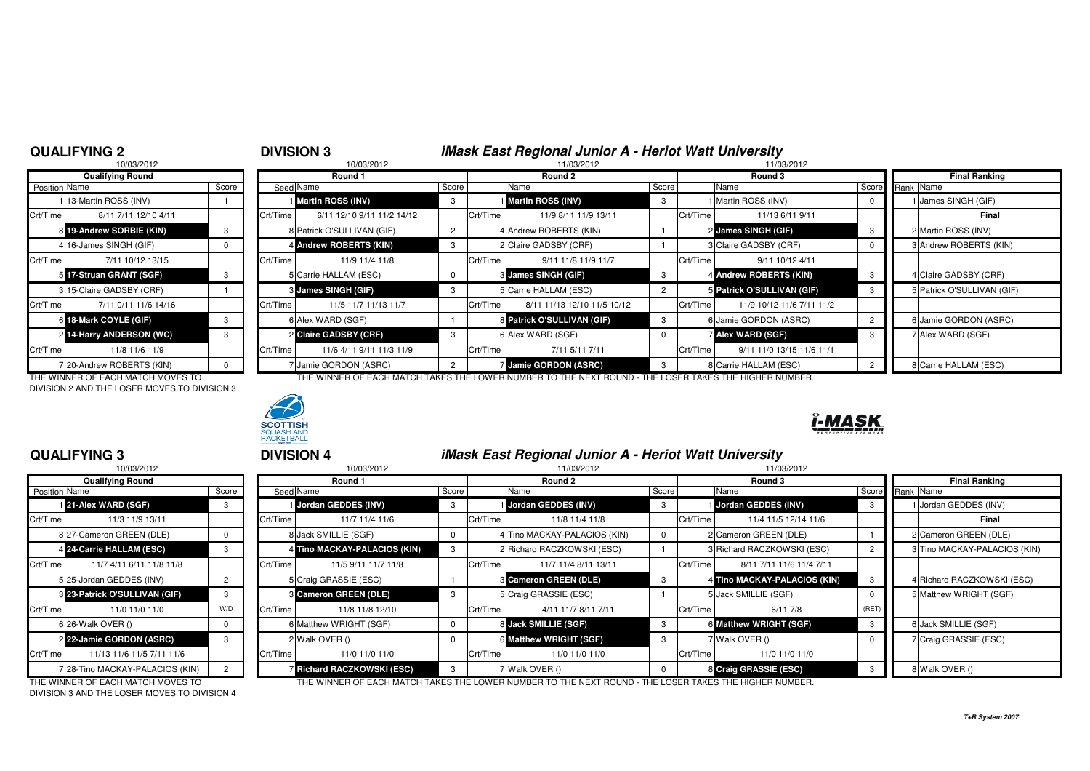## **QUALIFYING 2**

**QUALIFYING 3**

# <sup>2</sup> **DIVISION 3 iMask East Regional Junior A - Heriot Watt University**

|               | 10/03/2012               |       |          | 10/03/2012                 |   |          | 11/03/2012                  |       |          | 11/03/2012                 |    |  |                        |  |  |
|---------------|--------------------------|-------|----------|----------------------------|---|----------|-----------------------------|-------|----------|----------------------------|----|--|------------------------|--|--|
|               | <b>Qualifying Round</b>  |       | Round 1  |                            |   |          | Round 2                     |       |          | Round 3                    |    |  | <b>Final Ranking</b>   |  |  |
| Position Name |                          | Score |          | Seed Name<br>Score         |   |          | Name                        | Score |          | Name                       |    |  | Score Rank Name        |  |  |
|               | 113-Martin ROSS (INV)    |       |          | Martin ROSS (INV)          | 3 |          | Martin ROSS (INV)           | -3    |          | I Martin ROSS (INV)        |    |  | 1 James SINGH (GIF)    |  |  |
| Crt/Time      | 8/11 7/11 12/10 4/11     |       | Crt/Time | 6/11 12/10 9/11 11/2 14/12 |   | Crt/Time | 11/9 8/11 11/9 13/11        |       | Crt/Time | 11/13 6/11 9/11            |    |  | Final                  |  |  |
|               | 8 19-Andrew SORBIE (KIN) |       |          | 8 Patrick O'SULLIVAN (GIF) |   |          | 4 Andrew ROBERTS (KIN)      |       |          | 2 James SINGH (GIF)        | -3 |  | 2 Martin ROSS (INV)    |  |  |
|               | 4 16-James SINGH (GIF)   |       |          | 4 Andrew ROBERTS (KIN)     | 3 |          | 2 Claire GADSBY (CRF)       |       |          | 3 Claire GADSBY (CRF)      |    |  | 3 Andrew ROBERTS (KI   |  |  |
| Crt/Time      | 7/11 10/12 13/15         |       | Crt/Time | 11/9 11/4 11/8             |   | Crt/Time | 9/11 11/8 11/9 11/7         |       | Crt/Time | 9/11 10/12 4/11            |    |  |                        |  |  |
|               | 5 17-Struan GRANT (SGF)  |       |          | 5 Carrie HALLAM (ESC)      | 0 |          | 3 James SINGH (GIF)         |       |          | 4 Andrew ROBERTS (KIN)     | -3 |  | 4 Claire GADSBY (CRF)  |  |  |
|               | 3 15-Claire GADSBY (CRF) |       |          | 3 James SINGH (GIF)        | 3 |          | 5 Carrie HALLAM (ESC)       |       |          | 5 Patrick O'SULLIVAN (GIF) | -3 |  | 5 Patrick O'SULLIVAN ( |  |  |
| Crt/Time      | 7/11 0/11 11/6 14/16     |       | Crt/Time | 11/5 11/7 11/13 11/7       |   | Crt/Time | 8/11 11/13 12/10 11/5 10/12 |       | Crt/Time | 11/9 10/12 11/6 7/11 11/2  |    |  |                        |  |  |
|               | 6 18-Mark COYLE (GIF)    |       |          | 6 Alex WARD (SGF)          |   |          | 8 Patrick O'SULLIVAN (GIF)  | -3    |          | 6 Jamie GORDON (ASRC)      |    |  | 6 Jamie GORDON (ASR    |  |  |
|               | 2 14-Harry ANDERSON (WC) | 3     |          | 2 Claire GADSBY (CRF)      | 3 |          | 6 Alex WARD (SGF)           |       |          | <b>7 Alex WARD (SGF)</b>   | -3 |  | 7 Alex WARD (SGF)      |  |  |
| Crt/Time      | 11/8 11/6 11/9           |       | Crt/Time | 11/6 4/11 9/11 11/3 11/9   |   | Crt/Time | 7/11 5/11 7/11              |       | Crt/Time | 9/11 11/0 13/15 11/6 11/1  |    |  |                        |  |  |
|               | 720-Andrew ROBERTS (KIN) |       |          | 7 Jamie GORDON (ASRC)      | 2 |          | <b>Jamie GORDON (ASRC)</b>  |       |          | 8 Carrie HALLAM (ESC)      |    |  | 8 Carrie HALLAM (ESC)  |  |  |

THE WINNER OF EACH MATCH MOVES TO THE WINNER OF EACH MATCH TAKES THE LOWER NUMBER TO THE NEXT ROUND - THE LOSER TAKES THE HIGHER NUMBER.DIVISION 2 AND THE LOSER MOVES TO DIVISION 3



# -MASI

## <sup>3</sup> **DIVISION 4 iMask East Regional Junior A - Heriot Watt University**

|               | 10/03/2012<br>11/03/2012<br>10/03/2012<br>11/03/2012 |       |          |                                   |          |          |                              |       |          |                              |       |           |                              |
|---------------|------------------------------------------------------|-------|----------|-----------------------------------|----------|----------|------------------------------|-------|----------|------------------------------|-------|-----------|------------------------------|
|               | <b>Qualifying Round</b>                              |       |          | Round 1                           |          |          | Round 2                      |       |          | Round 3                      |       |           | <b>Final Ranking</b>         |
| Position Name |                                                      | Score |          | Seed Name                         | Score    |          | Name                         | Score |          | Name                         | Score | Rank Name |                              |
|               | 21-Alex WARD (SGF)                                   | 3     |          | Jordan GEDDES (INV)               | 3        |          | Jordan GEDDES (INV)          | -3    |          | Jordan GEDDES (INV)          |       |           | 1 Jordan GEDDES (INV)        |
| Crt/Time      | 11/3 11/9 13/11                                      |       | Crt/Time | 11/7 11/4 11/6                    |          | Crt/Time | 11/8 11/4 11/8               |       | Crt/Time | 11/4 11/5 12/14 11/6         |       |           | Final                        |
|               | 8 27-Cameron GREEN (DLE)                             |       |          | 8 Jack SMILLIE (SGF)              |          |          | 4 Tino MACKAY-PALACIOS (KIN) |       |          | 2 Cameron GREEN (DLE)        |       |           | 2 Cameron GREEN (DLE)        |
|               | 4 24-Carrie HALLAM (ESC)                             |       |          | 4 Tino MACKAY-PALACIOS (KIN)      | 3        |          | 2 Richard RACZKOWSKI (ESC)   |       |          | 3 Richard RACZKOWSKI (ESC)   |       |           | 3 Tino MACKAY-PALACIOS (KIN) |
| Crt/Time      | 11/7 4/11 6/11 11/8 11/8                             |       | Crt/Time | 11/5 9/11 11/7 11/8               |          | Crt/Time | 11/7 11/4 8/11 13/11         |       | Crt/Time | 8/11 7/11 11/6 11/4 7/11     |       |           |                              |
|               | 5 25-Jordan GEDDES (INV)                             |       |          | 5 Craig GRASSIE (ESC)             |          |          | <b>8 Cameron GREEN (DLE)</b> |       |          | 4 Tino MACKAY-PALACIOS (KIN) |       |           | 4 Richard RACZKOWSKI (ESC)   |
|               | 3 23-Patrick O'SULLIVAN (GIF)                        |       |          | <b>8 Cameron GREEN (DLE)</b>      | 3        |          | 5 Craig GRASSIE (ESC)        |       |          | 5 Jack SMILLIE (SGF)         |       |           | 5 Matthew WRIGHT (SGF)       |
| Crt/Time      | 11/0 11/0 11/0                                       | W/D   | Crt/Time | 11/8 11/8 12/10                   |          | Crt/Time | 4/11 11/7 8/11 7/11          |       | Crt/Time | 6/117/8                      | (RET  |           |                              |
|               | 6 26-Walk OVER ()                                    |       |          | 6 Matthew WRIGHT (SGF)            | $\Omega$ |          | 8 Jack SMILLIE (SGF)         | -3    |          | 6 Matthew WRIGHT (SGF)       | - 3   |           | 6 Jack SMILLIE (SGF)         |
|               | 2 22-Jamie GORDON (ASRC)                             |       |          | 2 Walk OVER ()                    | 0        |          | 6 Matthew WRIGHT (SGF)       |       |          | 7 Walk OVER ()               |       |           | 7 Craig GRASSIE (ESC)        |
| Crt/Time      | 11/13 11/6 11/5 7/11 11/6                            |       | Crt/Time | 11/0 11/0 11/0                    |          | Crt/Time | 11/0 11/0 11/0               |       | Crt/Time | 11/0 11/0 11/0               |       |           |                              |
|               | 7 28-Tino MACKAY-PALACIOS (KIN)                      |       |          | <b>7 Richard RACZKOWSKI (ESC)</b> |          |          | 7 Walk OVER ()               |       |          | 8 Craig GRASSIE (ESC)        |       |           | 8 Walk OVER ()               |

DIVISION 3 AND THE LOSER MOVES TO DIVISION 4

THE WINNER OF EACH MATCH MOVES TO THE WINNER OF EACH MATCH TAKES THE LOWER NUMBER TO THE NEXT ROUND - THE LOSER TAKES THE HIGHER NUMBER.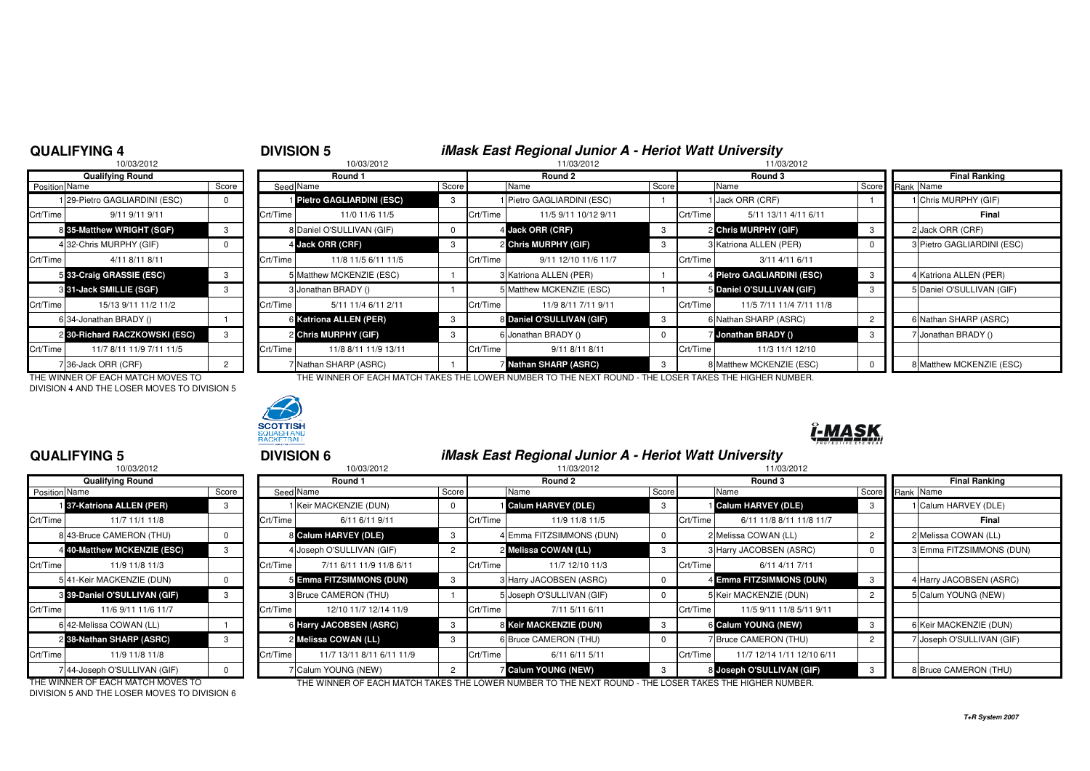## **QUALIFYING 4**

# <sup>4</sup> **DIVISION 5 iMask East Regional Junior A - Heriot Watt University**

| 10/03/2012    |                               |          |          | 10/03/2012                |       |          | 11/03/2012                 |       |          | 11/03/2012                 |       |                        |
|---------------|-------------------------------|----------|----------|---------------------------|-------|----------|----------------------------|-------|----------|----------------------------|-------|------------------------|
|               | <b>Qualifying Round</b>       |          |          | Round 1                   |       |          | Round 2                    |       |          | Round 3                    |       | <b>Final Ranking</b>   |
| Position Name |                               | Score    |          | Seed Name                 | Score |          | Name                       | Score |          | Name                       | Score | Rank Name              |
|               | 1 29-Pietro GAGLIARDINI (ESC) | $\Omega$ |          | Pietro GAGLIARDINI (ESC)  | 3     |          | 1 Pietro GAGLIARDINI (ESC) |       |          | I Jack ORR (CRF)           |       | 1 Chris MURPHY (GIF)   |
| Crt/Time      | 9/11 9/11 9/11                |          | Crt/Time | 11/0 11/6 11/5            |       | Crt/Time | 11/5 9/11 10/12 9/11       |       | Crt/Time | 5/11 13/11 4/11 6/11       |       | Final                  |
|               | 8 35-Matthew WRIGHT (SGF)     |          |          | 8 Daniel O'SULLIVAN (GIF) |       |          | 4 Jack ORR (CRF)           | -3    |          | 2 Chris MURPHY (GIF)       | -3    | 2 Jack ORR (CRF)       |
|               | 4 32-Chris MURPHY (GIF)       |          |          | 4 Jack ORR (CRF)          | -3    |          | 2 Chris MURPHY (GIF)       | 3     |          | 3 Katriona ALLEN (PER)     |       | 3 Pietro GAGLIARDINI ( |
| Crt/Time      | 4/11 8/11 8/11                |          | Crt/Time | 11/8 11/5 6/11 11/5       |       | Crt/Time | 9/11 12/10 11/6 11/7       |       | Crt/Time | 3/11 4/11 6/11             |       |                        |
|               | 5 33-Craig GRASSIE (ESC)      |          |          | 5 Matthew MCKENZIE (ESC)  |       |          | 3 Katriona ALLEN (PER)     |       |          | 4 Pietro GAGLIARDINI (ESC) | -3    | 4 Katriona ALLEN (PER) |
|               | 3 31-Jack SMILLIE (SGF)       |          |          | 3 Jonathan BRADY ()       |       |          | 5 Matthew MCKENZIE (ESC)   |       |          | 5 Daniel O'SULLIVAN (GIF)  | -3    | 5 Daniel O'SULLIVAN (G |
| Crt/Time      | 15/13 9/11 11/2 11/2          |          | Crt/Time | 5/11 11/4 6/11 2/11       |       | Crt/Time | 11/9 8/11 7/11 9/11        |       | Crt/Time | 11/5 7/11 11/4 7/11 11/8   |       |                        |
|               | 6 34-Jonathan BRADY ()        |          |          | 6 Katriona ALLEN (PER)    | -3    |          | 8 Daniel O'SULLIVAN (GIF)  | 3     |          | 6 Nathan SHARP (ASRC)      |       | 6 Nathan SHARP (ASRO   |
|               | 2 30-Richard RACZKOWSKI (ESC) |          |          | 2 Chris MURPHY (GIF)      | -3    |          | 6 Jonathan BRADY ()        |       |          | <b>Jonathan BRADY ()</b>   |       | 7 Jonathan BRADY ()    |
| Crt/Time      | 11/7 8/11 11/9 7/11 11/5      |          | Crt/Time | 11/8 8/11 11/9 13/11      |       | Crt/Time | 9/11 8/11 8/11             |       | Crt/Time | 11/3 11/1 12/10            |       |                        |
|               | 7 36-Jack ORR (CRF)           |          |          | 7 Nathan SHARP (ASRC)     |       |          | 7 Nathan SHARP (ASRC)      | -3    |          | 8 Matthew MCKENZIE (ESC)   |       | 8 Matthew MCKENZIE (I  |

| THE WINNER OF EACH MATCH MOVES TO            |
|----------------------------------------------|
| DIVISION 4 AND THE LOSER MOVES TO DIVISION 5 |



THE WINNER OF EACH MATCH TAKES THE LOWER NUMBER TO THE NEXT ROUND - THE LOSER TAKES THE HIGHER NUMBER.

<sup>5</sup> **DIVISION 6 iMask East Regional Junior A - Heriot Watt University**



## *-MASK*

## **QUALIFYING 5**

|                      | 10/03/2012                   |              |                |
|----------------------|------------------------------|--------------|----------------|
|                      | <b>Qualifying Round</b>      |              |                |
| <b>Position Name</b> |                              | Score        | Seed           |
|                      | 137-Katriona ALLEN (PER)     | 3            |                |
| Crt/Time             | 11/7 11/1 11/8               |              | Crt/Time       |
|                      | 8 43-Bruce CAMERON (THU)     | 0            | 8              |
|                      | 4 40-Matthew MCKENZIE (ESC)  | 3            | 4              |
| Crt/Time             | 11/9 11/8 11/3               |              | Crt/Time       |
|                      | 5 41-Keir MACKENZIE (DUN)    | <sup>0</sup> | 5              |
|                      | 8 39-Daniel O'SULLIVAN (GIF) | 3            | 3              |
| Crt/Time             | 11/6 9/11 11/6 11/7          |              | Crt/Time       |
|                      | 6 42-Melissa COWAN (LL)      |              | 6              |
|                      | 2 38-Nathan SHARP (ASRC)     | 3            | $\overline{2}$ |
| Crt/Time             | 11/9 11/8 11/8               |              | Crt/Time       |
|                      | 7 44-Joseph O'SULLIVAN (GIF) | U            | 7              |

|                      | .                                 |       |          | .                         |       |          |                           |            |                                                                                                        |                |  |                           |  |  |
|----------------------|-----------------------------------|-------|----------|---------------------------|-------|----------|---------------------------|------------|--------------------------------------------------------------------------------------------------------|----------------|--|---------------------------|--|--|
|                      | 10/03/2012                        |       |          | 10/03/2012                |       |          | 11/03/2012                |            | 11/03/2012                                                                                             |                |  |                           |  |  |
|                      | <b>Qualifying Round</b>           |       | Round 1  |                           |       | Round 2  |                           |            | Round 3                                                                                                |                |  | <b>Final Ranking</b>      |  |  |
| <b>Position Name</b> |                                   | Score |          | Seed Name                 | Score |          | Name                      | Score      | Name                                                                                                   | Score          |  | Rank Name                 |  |  |
|                      | 137-Katriona ALLEN (PER)          | 3     |          | 1 Keir MACKENZIE (DUN)    | 0     |          | Calum HARVEY (DLE)        | 3          | Calum HARVEY (DLE)                                                                                     |                |  | Calum HARVEY (DLE)        |  |  |
| Crt/Time             | 11/7 11/1 11/8                    |       | Crt/Time | 6/11 6/11 9/11            |       | Crt/Time | 11/9 11/8 11/5            |            | 6/11 11/8 8/11 11/8 11/7<br>Crt/Time                                                                   |                |  | Final                     |  |  |
|                      | 8 43-Bruce CAMERON (THU)          |       |          | 8 Calum HARVEY (DLE)      | -3    |          | 4 Emma FITZSIMMONS (DUN)  | $\Omega$   | 2 Melissa COWAN (LL)                                                                                   | $\overline{2}$ |  | 2 Melissa COWAN (LL)      |  |  |
|                      | 4 40-Matthew MCKENZIE (ESC)       | 3     |          | 4 Joseph O'SULLIVAN (GIF) |       |          | 2 Melissa COWAN (LL)      | 3          | 3 Harry JACOBSEN (ASRC)                                                                                | $\Omega$       |  | 3 Emma FITZSIMMONS (DUN)  |  |  |
| Crt/Time             | 11/9 11/8 11/3                    |       | Crt/Time | 7/11 6/11 11/9 11/8 6/11  |       | Crt/Time | 11/7 12/10 11/3           |            | 6/11 4/11 7/11<br>Crt/Time                                                                             |                |  |                           |  |  |
|                      | 541-Keir MACKENZIE (DUN)          | O.    |          | 5 Emma FITZSIMMONS (DUN)  | 3     |          | 3 Harry JACOBSEN (ASRC)   | $\Omega$   | 4 Emma FITZSIMMONS (DUN)                                                                               | 3              |  | 4 Harry JACOBSEN (ASRC)   |  |  |
|                      | 3 39-Daniel O'SULLIVAN (GIF)      | 3     |          | 3 Bruce CAMERON (THU)     |       |          | 5 Joseph O'SULLIVAN (GIF) | $^{\circ}$ | 5 Keir MACKENZIE (DUN)                                                                                 | $\overline{2}$ |  | <b>Calum YOUNG (NEW)</b>  |  |  |
| Crt/Time             | 11/6 9/11 11/6 11/7               |       | Crt/Time | 12/10 11/7 12/14 11/9     |       | Crt/Time | 7/11 5/11 6/11            |            | 11/5 9/11 11/8 5/11 9/11<br>Crt/Time                                                                   |                |  |                           |  |  |
|                      | 6 42-Melissa COWAN (LL)           |       |          | 6 Harry JACOBSEN (ASRC)   |       |          | 8 Keir MACKENZIE (DUN)    | 3          | 6 Calum YOUNG (NEW)                                                                                    | 3              |  | 6 Keir MACKENZIE (DUN)    |  |  |
|                      | 2 38-Nathan SHARP (ASRC)          |       |          | 2 Melissa COWAN (LL)      | 3     |          | 6 Bruce CAMERON (THU)     | $^{\rm o}$ | 7 Bruce CAMERON (THU)                                                                                  | $\overline{2}$ |  | 7 Joseph O'SULLIVAN (GIF) |  |  |
| Crt/Time             | 11/9 11/8 11/8                    |       | Crt/Time | 11/7 13/11 8/11 6/11 11/9 |       | Crt/Time | 6/11 6/11 5/11            |            | 11/7 12/14 1/11 12/10 6/11<br>Crt/Time                                                                 |                |  |                           |  |  |
|                      | 744-Joseph O'SULLIVAN (GIF)       |       |          | 7 Calum YOUNG (NEW)       |       |          | <b>Calum YOUNG (NEW)</b>  | 3          | 8 Joseph O'SULLIVAN (GIF)                                                                              |                |  | 8 Bruce CAMERON (THU)     |  |  |
|                      | THE WINNER OF FACH MATCH MOVES TO |       |          |                           |       |          |                           |            | THE WINNER OF FACH MATCH TAKES THE LOWER NUMBER TO THE NEXT ROUND - THE LOSER TAKES THE HIGHER NUMBER. |                |  |                           |  |  |

THE WINNER OF EACH MATCH MOVES TO DIVISION 5 AND THE LOSER MOVES TO DIVISION 6